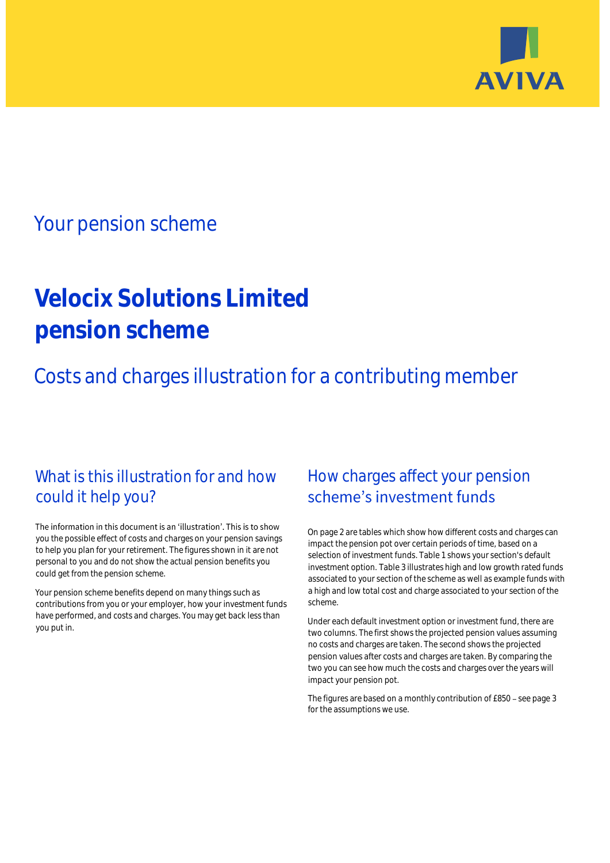

## Your pension scheme

# **Velocix Solutions Limited pension scheme**

Costs and charges illustration for a contributing member

### What is this illustration for and how could it help you?

#### The information in this document is an 'illustration'. This is to show you the possible effect of costs and charges on your pension savings to help you plan for your retirement. The figures shown in it are not personal to you and do not show the actual pension benefits you could get from the pension scheme.

Your pension scheme benefits depend on many things such as contributions from you or your employer, how your investment funds have performed, and costs and charges. You may get back less than you put in.

### How charges affect your pension scheme's investment funds

On page 2 are tables which show how different costs and charges can impact the pension pot over certain periods of time, based on a selection of investment funds. Table 1 shows your section's default investment option. Table 3 illustrates high and low growth rated funds associated to your section of the scheme as well as example funds with a high and low total cost and charge associated to your section of the scheme.

Under each default investment option or investment fund, there are two columns. The first shows the projected pension values assuming no costs and charges are taken. The second shows the projected pension values after costs and charges are taken. By comparing the two you can see how much the costs and charges over the years will impact your pension pot.

The figures are based on a monthly contribution of £850 - see page 3 for the assumptions we use.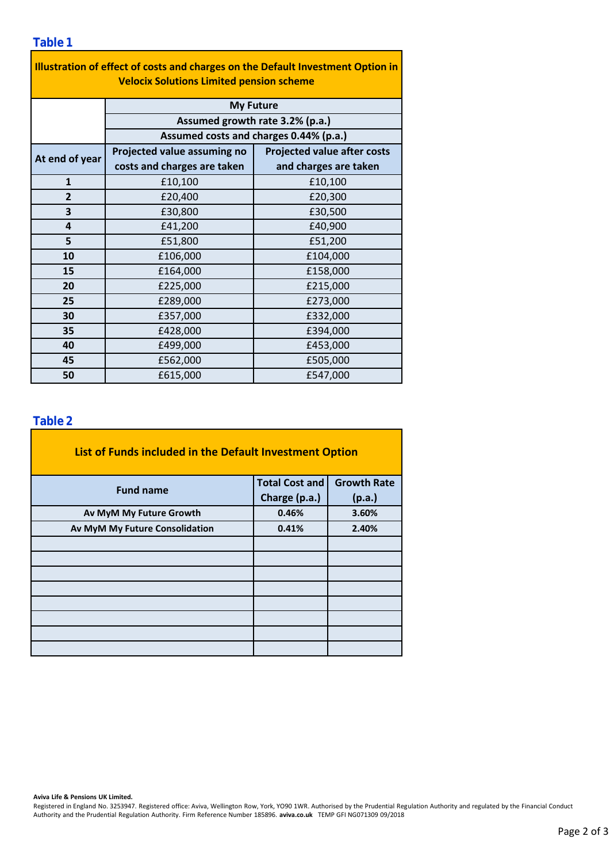| Illustration of effect of costs and charges on the Default Investment Option in<br><b>Velocix Solutions Limited pension scheme</b> |                                        |                                    |  |  |  |  |  |  |
|------------------------------------------------------------------------------------------------------------------------------------|----------------------------------------|------------------------------------|--|--|--|--|--|--|
|                                                                                                                                    | <b>My Future</b>                       |                                    |  |  |  |  |  |  |
|                                                                                                                                    | Assumed growth rate 3.2% (p.a.)        |                                    |  |  |  |  |  |  |
|                                                                                                                                    | Assumed costs and charges 0.44% (p.a.) |                                    |  |  |  |  |  |  |
| At end of year                                                                                                                     | Projected value assuming no            | <b>Projected value after costs</b> |  |  |  |  |  |  |
|                                                                                                                                    | costs and charges are taken            | and charges are taken              |  |  |  |  |  |  |
| $\mathbf{1}$                                                                                                                       | £10,100                                | £10,100                            |  |  |  |  |  |  |
| $\overline{2}$                                                                                                                     | £20,400                                | £20,300                            |  |  |  |  |  |  |
| 3                                                                                                                                  | £30,800                                | £30,500                            |  |  |  |  |  |  |
| 4                                                                                                                                  | £41,200                                | £40,900                            |  |  |  |  |  |  |
| 5                                                                                                                                  | £51,800                                | £51,200                            |  |  |  |  |  |  |
| 10                                                                                                                                 | £106,000                               | £104,000                           |  |  |  |  |  |  |
| 15                                                                                                                                 | £164,000                               | £158,000                           |  |  |  |  |  |  |
| 20                                                                                                                                 | £225,000                               | £215,000                           |  |  |  |  |  |  |
| 25                                                                                                                                 | £289,000                               | £273,000                           |  |  |  |  |  |  |
| 30                                                                                                                                 | £357,000                               | £332,000                           |  |  |  |  |  |  |
| 35                                                                                                                                 | £428,000                               | £394,000                           |  |  |  |  |  |  |
| 40                                                                                                                                 | £499,000                               | £453,000                           |  |  |  |  |  |  |
| 45                                                                                                                                 | £562,000                               | £505,000                           |  |  |  |  |  |  |
| 50                                                                                                                                 | £615,000                               | £547,000                           |  |  |  |  |  |  |

÷,

### **Table 2**

| List of Funds included in the Default Investment Option |                       |                    |
|---------------------------------------------------------|-----------------------|--------------------|
| <b>Fund name</b>                                        | <b>Total Cost and</b> | <b>Growth Rate</b> |
|                                                         | Charge (p.a.)         | (p.a.)             |
| Av MyM My Future Growth                                 | 0.46%                 | 3.60%              |
| Av MyM My Future Consolidation                          | 0.41%                 | 2.40%              |
|                                                         |                       |                    |
|                                                         |                       |                    |
|                                                         |                       |                    |
|                                                         |                       |                    |
|                                                         |                       |                    |
|                                                         |                       |                    |
|                                                         |                       |                    |
|                                                         |                       |                    |

#### **Aviva Life & Pensions UK Limited.**

Registered in England No. 3253947. Registered office: Aviva, Wellington Row, York, YO90 1WR. Authorised by the Prudential Regulation Authority and regulated by the Financial Conduct Authority and the Prudential Regulation Authority. Firm Reference Number 185896. **aviva.co.uk** TEMP GFI NG071309 09/2018